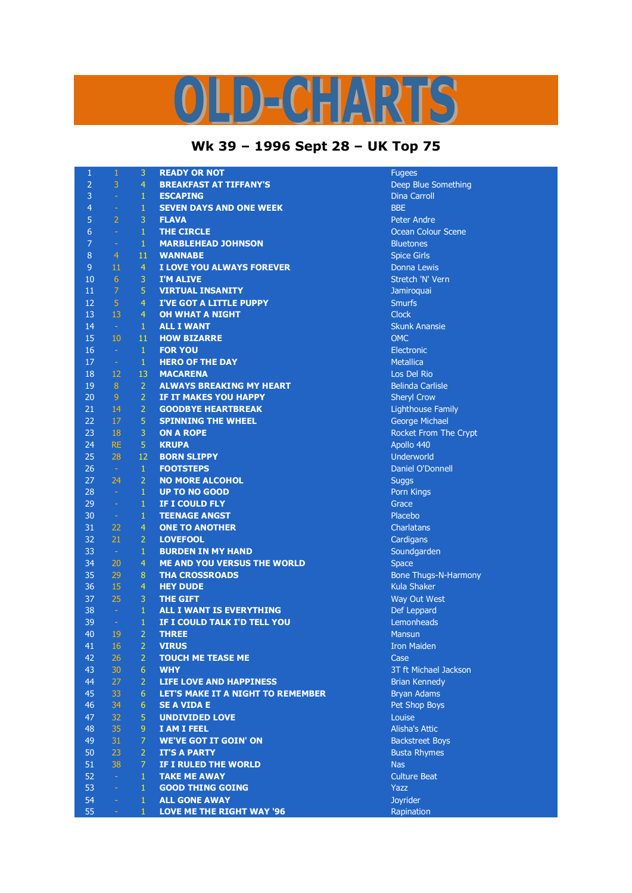## D-CHARTS

## **Wk 39 – 1996 Sept 28 – UK Top 75**

| $\mathbf{1}$   | $\mathbf{1}$   | 3              | <b>READY OR NOT</b>                | <b>Fugees</b>               |
|----------------|----------------|----------------|------------------------------------|-----------------------------|
| $\overline{2}$ | 3              | $\overline{4}$ | <b>BREAKFAST AT TIFFANY'S</b>      | Deep Blue Something         |
| 3              | $\rightarrow$  | $\mathbf{1}$   | <b>ESCAPING</b>                    | <b>Dina Carroll</b>         |
| 4              | $\equiv$       | $\mathbf{1}$   | <b>SEVEN DAYS AND ONE WEEK</b>     | <b>BBE</b>                  |
| 5              | $\overline{2}$ | 3              | <b>FLAVA</b>                       | <b>Peter Andre</b>          |
| 6              | $\omega$       | $\mathbf{1}$   | <b>THE CIRCLE</b>                  | <b>Ocean Colour Scene</b>   |
| $\overline{7}$ | $\equiv$       | $\mathbf{1}$   | <b>MARBLEHEAD JOHNSON</b>          | <b>Bluetones</b>            |
| 8              | $\overline{4}$ | 11             | <b>WANNABE</b>                     | <b>Spice Girls</b>          |
| $\overline{9}$ | 11             | $\overline{4}$ | I LOVE YOU ALWAYS FOREVER          | Donna Lewis                 |
| 10             | 6              | 3              | <b>I'M ALIVE</b>                   | Stretch 'N' Vern            |
| 11             | $\overline{7}$ | 5              | <b>VIRTUAL INSANITY</b>            | Jamiroquai                  |
| 12             | 5              | $\overline{4}$ | <b>I'VE GOT A LITTLE PUPPY</b>     | <b>Smurfs</b>               |
| 13             | 13             | $\overline{4}$ | <b>OH WHAT A NIGHT</b>             | <b>Clock</b>                |
| 14             | $\sim$         | $\mathbf{1}$   | <b>ALL I WANT</b>                  | <b>Skunk Anansie</b>        |
| 15             | 10             | 11             | <b>HOW BIZARRE</b>                 | <b>OMC</b>                  |
| 16             | $\sim$         | $\mathbf{1}$   | <b>FOR YOU</b>                     | Electronic                  |
| 17             | $\sim$         | $\mathbf{1}$   | <b>HERO OF THE DAY</b>             | <b>Metallica</b>            |
| 18             | 12             | 13             | <b>MACARENA</b>                    | Los Del Rio                 |
| 19             | 8 <sup>°</sup> | $\overline{2}$ | <b>ALWAYS BREAKING MY HEART</b>    | <b>Belinda Carlisle</b>     |
| 20             | 9              | $\overline{2}$ | IF IT MAKES YOU HAPPY              | <b>Sheryl Crow</b>          |
| 21             | 14             | $\overline{2}$ | <b>GOODBYE HEARTBREAK</b>          | <b>Lighthouse Family</b>    |
| 22             | 17             | 5              | <b>SPINNING THE WHEEL</b>          |                             |
| 23             | 18             | 3              | <b>ON A ROPE</b>                   | George Michael              |
| 24             | <b>RE</b>      |                |                                    | Rocket From The Crypt       |
|                |                | 5              | <b>KRUPA</b>                       | Apollo 440                  |
| 25             | 28             | 12             | <b>BORN SLIPPY</b>                 | Underworld                  |
| 26             | $\sim$         | $\mathbf{1}$   | <b>FOOTSTEPS</b>                   | Daniel O'Donnell            |
| 27             | 24             | $\overline{2}$ | <b>NO MORE ALCOHOL</b>             | <b>Suggs</b>                |
| 28             | $\sim$         | $\mathbf{1}$   | <b>UP TO NO GOOD</b>               | Porn Kings                  |
| 29             | $\omega$       | $\mathbf{1}$   | IF I COULD FLY                     | Grace                       |
| 30             | $\sim$         | $\mathbf{1}$   | <b>TEENAGE ANGST</b>               | Placebo                     |
| 31             | 22             | $\overline{4}$ | <b>ONE TO ANOTHER</b>              | Charlatans                  |
| 32             | 21             | $\overline{2}$ | <b>LOVEFOOL</b>                    | Cardigans                   |
| 33             | $\sim$         | $\mathbf{1}$   | <b>BURDEN IN MY HAND</b>           | Soundgarden                 |
| 34             | 20             | $\overline{4}$ | <b>ME AND YOU VERSUS THE WORLD</b> | <b>Space</b>                |
| 35             | 29             | 8              | <b>THA CROSSROADS</b>              | <b>Bone Thugs-N-Harmony</b> |
| 36             | 15             | $\overline{4}$ | <b>HEY DUDE</b>                    | <b>Kula Shaker</b>          |
| 37             | 25             | 3              | <b>THE GIFT</b>                    | Way Out West                |
| 38             | $\sim$         | $\mathbf{1}$   | ALL I WANT IS EVERYTHING           | Def Leppard                 |
| 39             | $\omega$       | $\mathbf{1}$   | IF I COULD TALK I'D TELL YOU       | Lemonheads                  |
| 40             | 19             | $\overline{2}$ | <b>THREE</b>                       | <b>Mansun</b>               |
| 41             | 16             | $\overline{2}$ | <b>VIRUS</b>                       | <b>Iron Maiden</b>          |
| 42             | 26             | $\overline{2}$ | <b>TOUCH ME TEASE ME</b>           | Case                        |
| 43             | 30             | 6              | <b>WHY</b>                         | 3T ft Michael Jackson       |
| 44             | 27             | $\overline{2}$ | <b>LIFE LOVE AND HAPPINESS</b>     | <b>Brian Kennedy</b>        |
| 45             | 33             | 6              | LET'S MAKE IT A NIGHT TO REMEMBER  | Bryan Adams                 |
| 46             | 34             | 6              | <b>SE A VIDA E</b>                 | Pet Shop Boys               |
| 47             | 32             | 5              | <b>UNDIVIDED LOVE</b>              | Louise                      |
| 48             | 35             | 9              | I AM I FEEL                        | <b>Alisha's Attic</b>       |
| 49             | 31             | $\overline{7}$ | <b>WE'VE GOT IT GOIN' ON</b>       | <b>Backstreet Boys</b>      |
| 50             | 23             | $\overline{2}$ | <b>IT'S A PARTY</b>                | <b>Busta Rhymes</b>         |
| 51             | 38             | $\overline{7}$ | IF I RULED THE WORLD               | <b>Nas</b>                  |
| 52             | $\omega$       | $\mathbf{1}$   | <b>TAKE ME AWAY</b>                | <b>Culture Beat</b>         |
| 53             | $\omega$       | $\mathbf{1}$   | <b>GOOD THING GOING</b>            | Yazz                        |
| 54             | ÷              | 1              | <b>ALL GONE AWAY</b>               | Joyrider                    |
| 55             | ÷.             | $\mathbf{1}$   | <b>LOVE ME THE RIGHT WAY '96</b>   | Rapination                  |